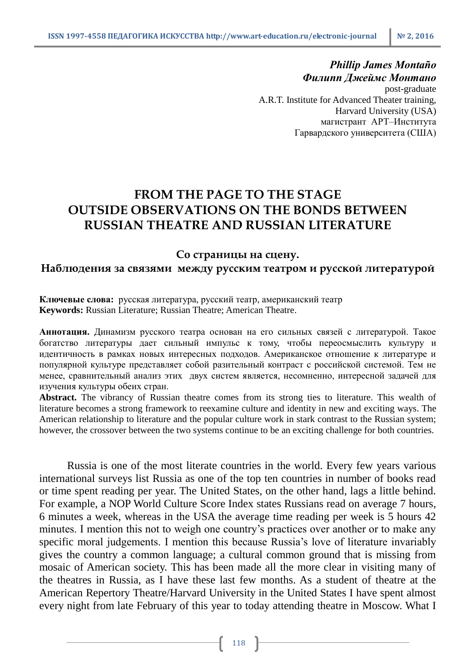## *Phillip James Montaño Филипп Джеймс Монтано*

post-graduate A.R.T. Institute for Advanced Theater training, Harvard University (USA) магистрант АРТ–Института Гарвардского университета (США)

# **FROM THE PAGE TO THE STAGE OUTSIDE OBSERVATIONS ON THE BONDS BETWEEN RUSSIAN THEATRE AND RUSSIAN LITERATURE**

### **Со страницы на сцену.**

# **Наблюдения за связями между русским театром и русской литературой**

#### **Ключевые слова:** русская литература, русский театр, американский театр **Keywords:** Russian Literature; Russian Theatre; American Theatre.

**Аннотация.** Динамизм русского театра основан на его сильных связей с литературой. Такое богатство литературы дает сильный импульс к тому, чтобы переосмыслить культуру и идентичность в рамках новых интересных подходов. Американское отношение к литературе и популярной культуре представляет собой разительный контраст с российской системой. Тем не менее, сравнительный анализ этих двух систем является, несомненно, интересной задачей для изучения культуры обеих стран.

**Abstract.** The vibrancy of Russian theatre comes from its strong ties to literature. This wealth of literature becomes a strong framework to reexamine culture and identity in new and exciting ways. The American relationship to literature and the popular culture work in stark contrast to the Russian system; however, the crossover between the two systems continue to be an exciting challenge for both countries.

Russia is one of the most literate countries in the world. Every few years various international surveys list Russia as one of the top ten countries in number of books read or time spent reading per year. The United States, on the other hand, lags a little behind. For example, a NOP World Culture Score Index states Russians read on average 7 hours, 6 minutes a week, whereas in the USA the average time reading per week is 5 hours 42 minutes. I mention this not to weigh one country's practices over another or to make any specific moral judgements. I mention this because Russia's love of literature invariably gives the country a common language; a cultural common ground that is missing from mosaic of American society. This has been made all the more clear in visiting many of the theatres in Russia, as I have these last few months. As a student of theatre at the American Repertory Theatre/Harvard University in the United States I have spent almost every night from late February of this year to today attending theatre in Moscow. What I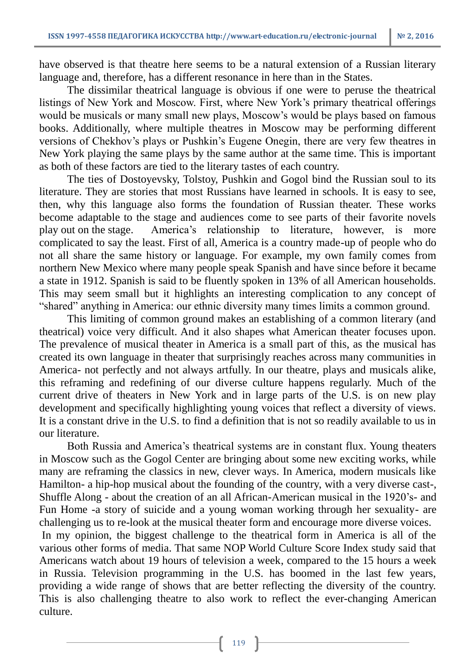have observed is that theatre here seems to be a natural extension of a Russian literary language and, therefore, has a different resonance in here than in the States.

The dissimilar theatrical language is obvious if one were to peruse the theatrical listings of New York and Moscow. First, where New York's primary theatrical offerings would be musicals or many small new plays, Moscow's would be plays based on famous books. Additionally, where multiple theatres in Moscow may be performing different versions of Chekhov's plays or Pushkin's Eugene Onegin, there are very few theatres in New York playing the same plays by the same author at the same time. This is important as both of these factors are tied to the literary tastes of each country.

The ties of Dostoyevsky, Tolstoy, Pushkin and Gogol bind the Russian soul to its literature. They are stories that most Russians have learned in schools. It is easy to see, then, why this language also forms the foundation of Russian theater. These works become adaptable to the stage and audiences come to see parts of their favorite novels play out on the stage. America's relationship to literature, however, is more complicated to say the least. First of all, America is a country made-up of people who do not all share the same history or language. For example, my own family comes from northern New Mexico where many people speak Spanish and have since before it became a state in 1912. Spanish is said to be fluently spoken in 13% of all American households. This may seem small but it highlights an interesting complication to any concept of "shared" anything in America: our ethnic diversity many times limits a common ground.

This limiting of common ground makes an establishing of a common literary (and theatrical) voice very difficult. And it also shapes what American theater focuses upon. The prevalence of musical theater in America is a small part of this, as the musical has created its own language in theater that surprisingly reaches across many communities in America- not perfectly and not always artfully. In our theatre, plays and musicals alike, this reframing and redefining of our diverse culture happens regularly. Much of the current drive of theaters in New York and in large parts of the U.S. is on new play development and specifically highlighting young voices that reflect a diversity of views. It is a constant drive in the U.S. to find a definition that is not so readily available to us in our literature.

Both Russia and America's theatrical systems are in constant flux. Young theaters in Moscow such as the Gogol Center are bringing about some new exciting works, while many are reframing the classics in new, clever ways. In America, modern musicals like Hamilton- a hip-hop musical about the founding of the country, with a very diverse cast-, Shuffle Along - about the creation of an all African-American musical in the 1920's- and Fun Home -a story of suicide and a young woman working through her sexuality- are challenging us to re-look at the musical theater form and encourage more diverse voices. In my opinion, the biggest challenge to the theatrical form in America is all of the

various other forms of media. That same NOP World Culture Score Index study said that Americans watch about 19 hours of television a week, compared to the 15 hours a week in Russia. Television programming in the U.S. has boomed in the last few years, providing a wide range of shows that are better reflecting the diversity of the country. This is also challenging theatre to also work to reflect the ever-changing American culture.